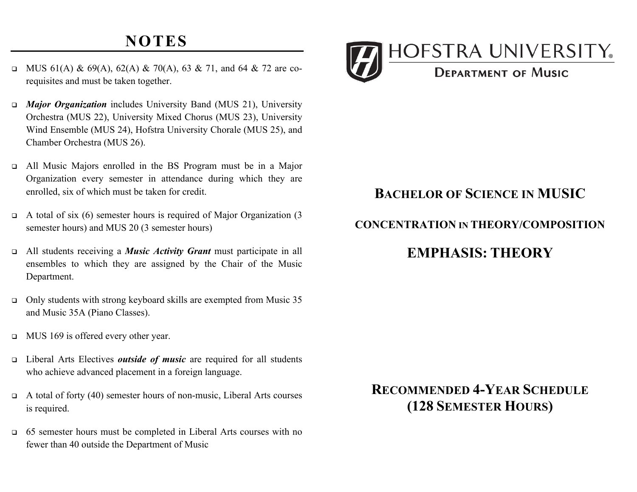# **NOTES**

- MUS 61(A) & 69(A), 62(A) & 70(A), 63 & 71, and 64 & 72 are corequisites and must be taken together.
- • *Major Organization* includes University Band (MUS 21), University Orchestra (MUS 22), University Mixed Chorus (MUS 23), University Wind Ensemble (MUS 24), Hofstra University Chorale (MUS 25), and Chamber Orchestra (MUS 26).
- • All Music Majors enrolled in the BS Program must be in a Major Organization every semester in attendance during which they are enrolled, six of which must be taken for credit.
- $\Box$  A total of six (6) semester hours is required of Major Organization (3 semester hours) and MUS 20 (3 semester hours)
- • All students receiving a *Music Activity Grant* must participate in all ensembles to which they are assigned by the Chair of the Music Department.
- $\Box$  Only students with strong keyboard skills are exempted from Music 35 and Music 35A (Piano Classes).
- **IVALUS** 169 is offered every other year.
- • Liberal Arts Electives *outside of music* are required for all students who achieve advanced placement in a foreign language.
- $\Box$  A total of forty (40) semester hours of non-music, Liberal Arts courses is required.
- 65 semester hours must be completed in Liberal Arts courses with no fewer than 40 outside the Department of Music



### **BACHELOR OF SCIENCE IN MUSIC**

#### **CONCENTRATION IN THEORY/COMPOSITION**

## **EMPHASIS: THEORY**

# **RECOMMENDED 4-YEAR SCHEDULE (128 SEMESTER HOURS)**